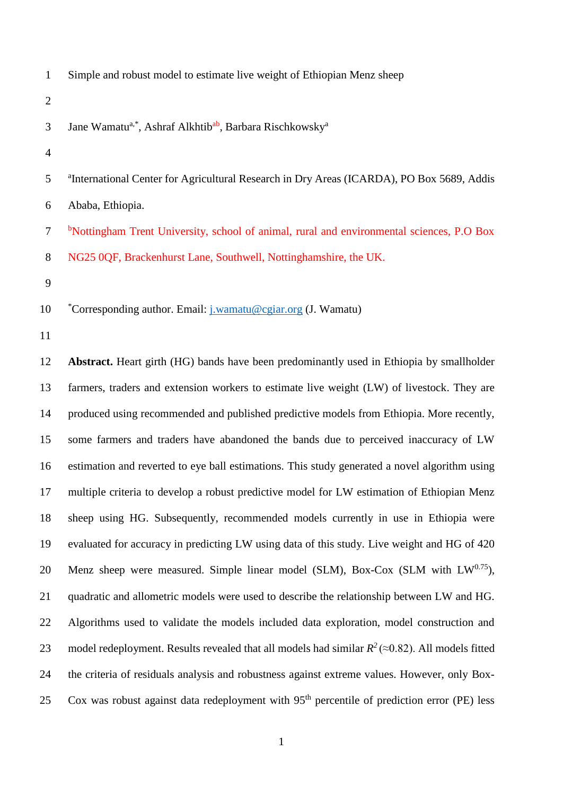| $\mathbf{1}$   | Simple and robust model to estimate live weight of Ethiopian Menz sheep                               |
|----------------|-------------------------------------------------------------------------------------------------------|
| $\overline{2}$ |                                                                                                       |
| 3              | Jane Wamatu <sup>a,*</sup> , Ashraf Alkhtib <sup>ab</sup> , Barbara Rischkowsky <sup>a</sup>          |
| $\overline{4}$ |                                                                                                       |
| 5              | <sup>a</sup> International Center for Agricultural Research in Dry Areas (ICARDA), PO Box 5689, Addis |
| 6              | Ababa, Ethiopia.                                                                                      |
| $\overline{7}$ | <sup>b</sup> Nottingham Trent University, school of animal, rural and environmental sciences, P.O Box |
| 8              | NG25 0QF, Brackenhurst Lane, Southwell, Nottinghamshire, the UK.                                      |
| 9              |                                                                                                       |
| 10             | *Corresponding author. Email: <i>j.wamatu@cgiar.org (J. Wamatu)</i>                                   |
| 11             |                                                                                                       |
| 12             | Abstract. Heart girth (HG) bands have been predominantly used in Ethiopia by smallholder              |
| 13             | farmers, traders and extension workers to estimate live weight (LW) of livestock. They are            |
|                |                                                                                                       |

 produced using recommended and published predictive models from Ethiopia. More recently, some farmers and traders have abandoned the bands due to perceived inaccuracy of LW estimation and reverted to eye ball estimations. This study generated a novel algorithm using multiple criteria to develop a robust predictive model for LW estimation of Ethiopian Menz sheep using HG. Subsequently, recommended models currently in use in Ethiopia were evaluated for accuracy in predicting LW using data of this study. Live weight and HG of 420 20 Menz sheep were measured. Simple linear model (SLM), Box-Cox (SLM with  $LW^{0.75}$ ), quadratic and allometric models were used to describe the relationship between LW and HG. Algorithms used to validate the models included data exploration, model construction and 23 model redeployment. Results revealed that all models had similar  $R^2 \approx 0.82$ ). All models fitted the criteria of residuals analysis and robustness against extreme values. However, only Box-25 Cox was robust against data redeployment with 95<sup>th</sup> percentile of prediction error (PE) less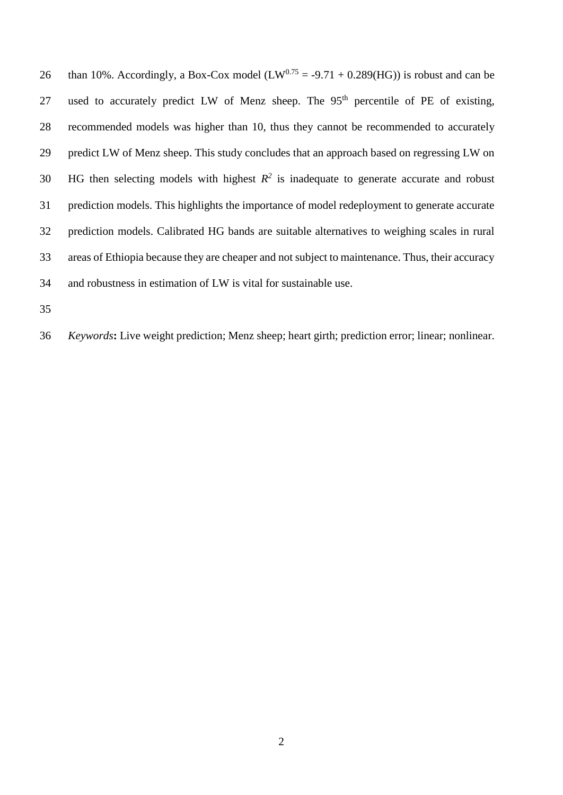26 than 10%. Accordingly, a Box-Cox model  $(LW^{0.75} = -9.71 + 0.289(HG))$  is robust and can be 27 used to accurately predict LW of Menz sheep. The  $95<sup>th</sup>$  percentile of PE of existing, recommended models was higher than 10, thus they cannot be recommended to accurately predict LW of Menz sheep. This study concludes that an approach based on regressing LW on 30 HG then selecting models with highest  $R^2$  is inadequate to generate accurate and robust prediction models. This highlights the importance of model redeployment to generate accurate prediction models. Calibrated HG bands are suitable alternatives to weighing scales in rural areas of Ethiopia because they are cheaper and not subject to maintenance. Thus, their accuracy and robustness in estimation of LW is vital for sustainable use.

*Keywords***:** Live weight prediction; Menz sheep; heart girth; prediction error; linear; nonlinear.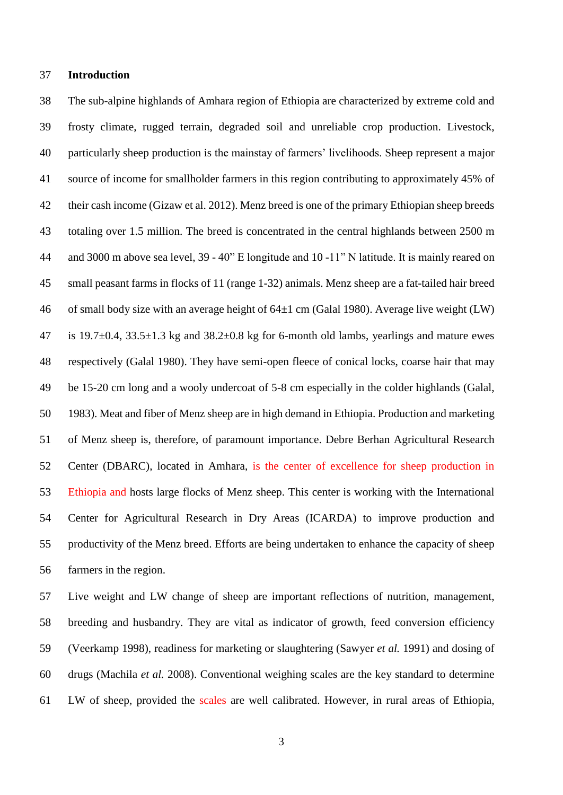#### **Introduction**

 The sub-alpine highlands of Amhara region of Ethiopia are characterized by extreme cold and frosty climate, rugged terrain, degraded soil and unreliable crop production. Livestock, particularly sheep production is the mainstay of farmers' livelihoods. Sheep represent a major source of income for smallholder farmers in this region contributing to approximately 45% of their cash income (Gizaw et al. 2012). Menz breed is one of the primary Ethiopian sheep breeds totaling over 1.5 million. The breed is concentrated in the central highlands between 2500 m and 3000 m above sea level, 39 - 40" E longitude and 10 -11" N latitude. It is mainly reared on small peasant farms in flocks of 11 (range 1-32) animals. Menz sheep are a fat-tailed hair breed 46 of small body size with an average height of  $64\pm1$  cm (Galal 1980). Average live weight (LW) 47 is 19.7 $\pm$ 0.4, 33.5 $\pm$ 1.3 kg and 38.2 $\pm$ 0.8 kg for 6-month old lambs, yearlings and mature ewes respectively (Galal 1980). They have semi-open fleece of conical locks, coarse hair that may be 15-20 cm long and a wooly undercoat of 5-8 cm especially in the colder highlands (Galal, 1983). Meat and fiber of Menz sheep are in high demand in Ethiopia. Production and marketing of Menz sheep is, therefore, of paramount importance. Debre Berhan Agricultural Research Center (DBARC), located in Amhara, is the center of excellence for sheep production in Ethiopia and hosts large flocks of Menz sheep. This center is working with the International Center for Agricultural Research in Dry Areas (ICARDA) to improve production and productivity of the Menz breed. Efforts are being undertaken to enhance the capacity of sheep farmers in the region.

 Live weight and LW change of sheep are important reflections of nutrition, management, breeding and husbandry. They are vital as indicator of growth, feed conversion efficiency (Veerkamp 1998), readiness for marketing or slaughtering (Sawyer *et al.* 1991) and dosing of drugs (Machila *et al.* 2008). Conventional weighing scales are the key standard to determine LW of sheep, provided the scales are well calibrated. However, in rural areas of Ethiopia,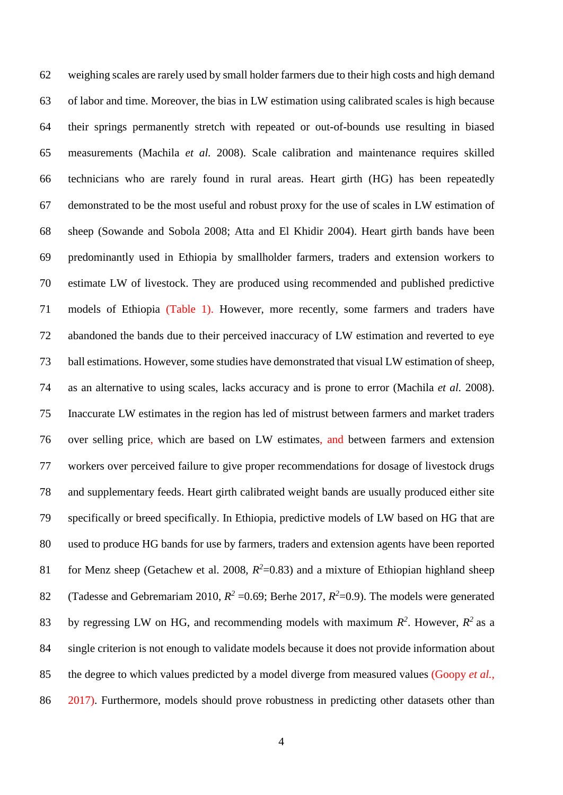weighing scales are rarely used by small holder farmers due to their high costs and high demand of labor and time. Moreover, the bias in LW estimation using calibrated scales is high because their springs permanently stretch with repeated or out-of-bounds use resulting in biased measurements (Machila *et al.* 2008). Scale calibration and maintenance requires skilled technicians who are rarely found in rural areas. Heart girth (HG) has been repeatedly demonstrated to be the most useful and robust proxy for the use of scales in LW estimation of sheep (Sowande and Sobola 2008; Atta and El Khidir 2004). Heart girth bands have been predominantly used in Ethiopia by smallholder farmers, traders and extension workers to estimate LW of livestock. They are produced using recommended and published predictive models of Ethiopia (Table 1). However, more recently, some farmers and traders have abandoned the bands due to their perceived inaccuracy of LW estimation and reverted to eye ball estimations. However, some studies have demonstrated that visual LW estimation of sheep, as an alternative to using scales, lacks accuracy and is prone to error (Machila *et al.* 2008). Inaccurate LW estimates in the region has led of mistrust between farmers and market traders over selling price, which are based on LW estimates, and between farmers and extension workers over perceived failure to give proper recommendations for dosage of livestock drugs and supplementary feeds. Heart girth calibrated weight bands are usually produced either site specifically or breed specifically. In Ethiopia, predictive models of LW based on HG that are used to produce HG bands for use by farmers, traders and extension agents have been reported 61 for Menz sheep (Getachew et al. 2008,  $R^2$ =0.83) and a mixture of Ethiopian highland sheep 82 (Tadesse and Gebremariam 2010,  $R^2 = 0.69$ ; Berhe 2017,  $R^2 = 0.9$ ). The models were generated 83 by regressing LW on HG, and recommending models with maximum  $R^2$ . However,  $R^2$  as a single criterion is not enough to validate models because it does not provide information about the degree to which values predicted by a model diverge from measured values (Goopy *et al.,* 86 2017). Furthermore, models should prove robustness in predicting other datasets other than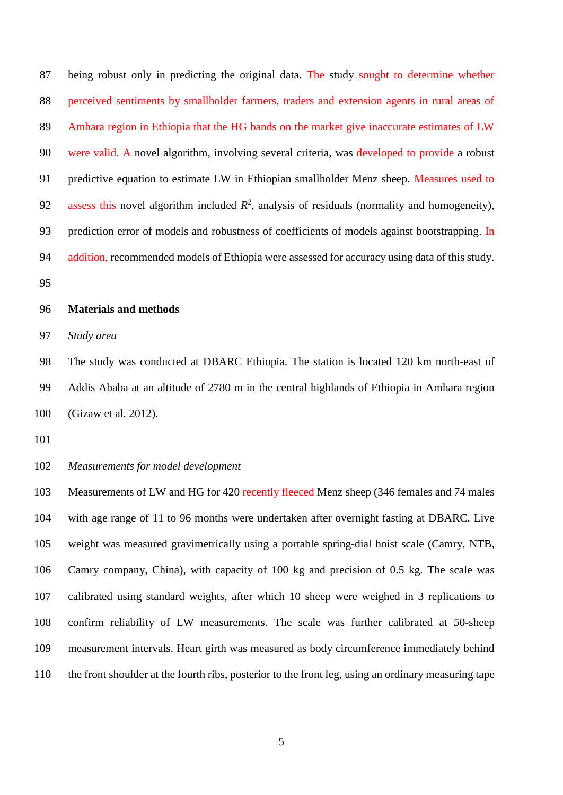being robust only in predicting the original data. The study sought to determine whether perceived sentiments by smallholder farmers, traders and extension agents in rural areas of Amhara region in Ethiopia that the HG bands on the market give inaccurate estimates of LW were valid. A novel algorithm, involving several criteria, was developed to provide a robust 91 predictive equation to estimate LW in Ethiopian smallholder Menz sheep. Measures used to 92 assess this novel algorithm included  $R^2$ , analysis of residuals (normality and homogeneity), 93 prediction error of models and robustness of coefficients of models against bootstrapping. In addition, recommended models of Ethiopia were assessed for accuracy using data of this study.

### **Materials and methods**

*Study area* 

 The study was conducted at DBARC Ethiopia. The station is located 120 km north-east of Addis Ababa at an altitude of 2780 m in the central highlands of Ethiopia in Amhara region (Gizaw et al. 2012).

#### *Measurements for model development*

 Measurements of LW and HG for 420 recently fleeced Menz sheep (346 females and 74 males with age range of 11 to 96 months were undertaken after overnight fasting at DBARC. Live weight was measured gravimetrically using a portable spring-dial hoist scale (Camry, NTB, Camry company, China), with capacity of 100 kg and precision of 0.5 kg. The scale was calibrated using standard weights, after which 10 sheep were weighed in 3 replications to confirm reliability of LW measurements. The scale was further calibrated at 50-sheep measurement intervals. Heart girth was measured as body circumference immediately behind the front shoulder at the fourth ribs, posterior to the front leg, using an ordinary measuring tape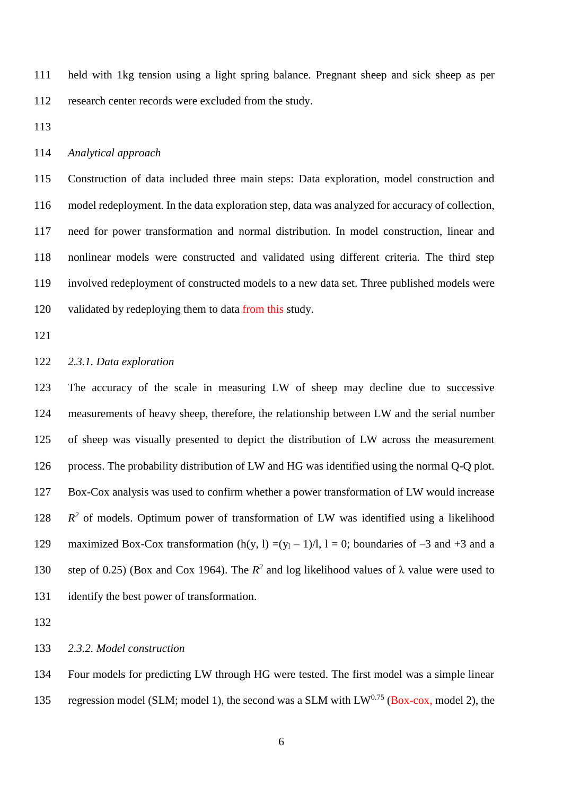held with 1kg tension using a light spring balance. Pregnant sheep and sick sheep as per research center records were excluded from the study.

### *Analytical approach*

 Construction of data included three main steps: Data exploration, model construction and model redeployment. In the data exploration step, data was analyzed for accuracy of collection, need for power transformation and normal distribution. In model construction, linear and nonlinear models were constructed and validated using different criteria. The third step involved redeployment of constructed models to a new data set. Three published models were validated by redeploying them to data from this study.

### *2.3.1. Data exploration*

 The accuracy of the scale in measuring LW of sheep may decline due to successive measurements of heavy sheep, therefore, the relationship between LW and the serial number of sheep was visually presented to depict the distribution of LW across the measurement process. The probability distribution of LW and HG was identified using the normal Q-Q plot. Box-Cox analysis was used to confirm whether a power transformation of LW would increase  $R^2$  of models. Optimum power of transformation of LW was identified using a likelihood 129 maximized Box-Cox transformation  $(h(y, l) = (y_1 - 1)/l, l = 0$ ; boundaries of  $-3$  and  $+3$  and a 130 step of 0.25) (Box and Cox 1964). The  $R^2$  and log likelihood values of  $\lambda$  value were used to identify the best power of transformation.

## *2.3.2. Model construction*

Four models for predicting LW through HG were tested. The first model was a simple linear

135 regression model (SLM; model 1), the second was a SLM with  $LW<sup>0.75</sup>$  (Box-cox, model 2), the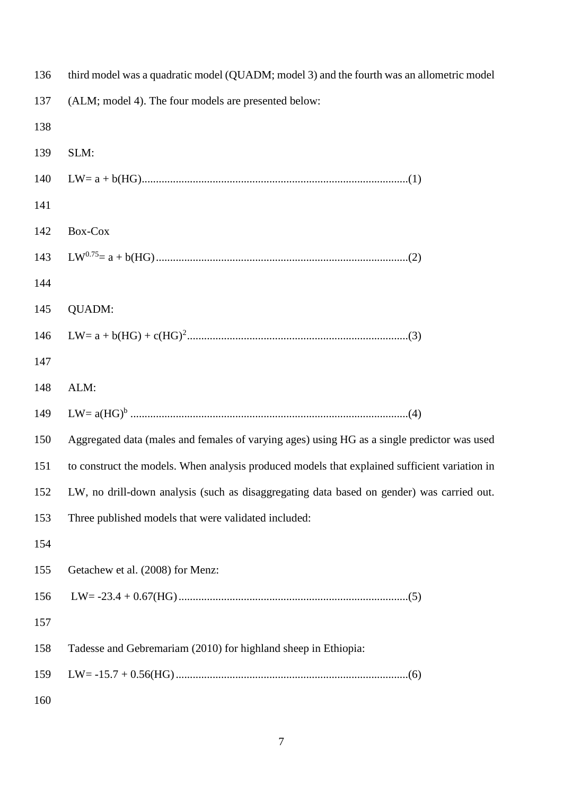| 136 | third model was a quadratic model (QUADM; model 3) and the fourth was an allometric model     |
|-----|-----------------------------------------------------------------------------------------------|
| 137 | (ALM; model 4). The four models are presented below:                                          |
| 138 |                                                                                               |
| 139 | SLM:                                                                                          |
| 140 |                                                                                               |
| 141 |                                                                                               |
| 142 | Box-Cox                                                                                       |
| 143 |                                                                                               |
| 144 |                                                                                               |
| 145 | <b>QUADM:</b>                                                                                 |
| 146 |                                                                                               |
| 147 |                                                                                               |
| 148 | ALM:                                                                                          |
| 149 |                                                                                               |
| 150 | Aggregated data (males and females of varying ages) using HG as a single predictor was used   |
| 151 | to construct the models. When analysis produced models that explained sufficient variation in |
|     | 152 LW, no drill-down analysis (such as disaggregating data based on gender) was carried out. |
| 153 | Three published models that were validated included:                                          |
| 154 |                                                                                               |
| 155 | Getachew et al. (2008) for Menz:                                                              |
| 156 |                                                                                               |
| 157 |                                                                                               |
| 158 | Tadesse and Gebremariam (2010) for highland sheep in Ethiopia:                                |
| 159 |                                                                                               |
| 160 |                                                                                               |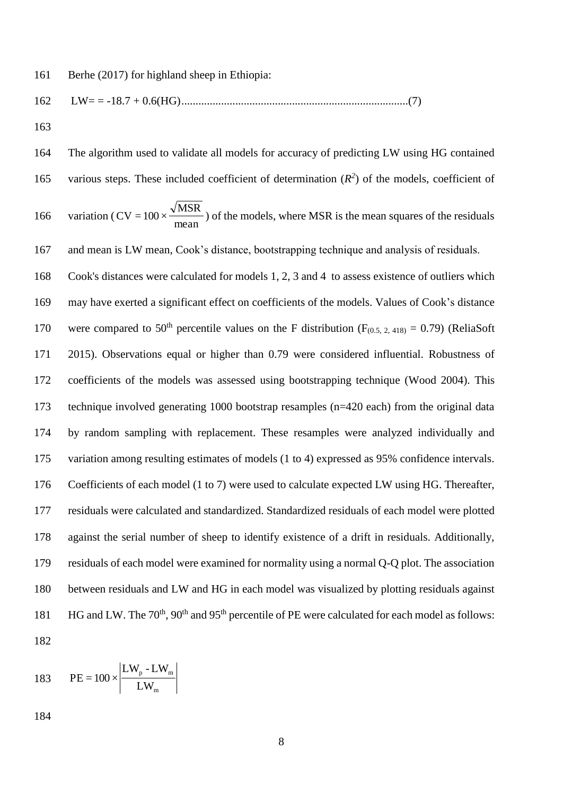LW= = -18.7 + 0.6(HG)................................................................................(7)

 The algorithm used to validate all models for accuracy of predicting LW using HG contained 165 various steps. These included coefficient of determination  $(R^2)$  of the models, coefficient of variation ( $CV = 100 \times \frac{V11524}{mean}$ MSR  $CV = 100 \times \frac{V}{V}$  of the models, where MSR is the mean squares of the residuals and mean is LW mean, Cook's distance, bootstrapping technique and analysis of residuals. Cook's distances were calculated for models 1, 2, 3 and 4 to assess existence of outliers which may have exerted a significant effect on coefficients of the models. Values of Cook's distance 170 were compared to 50<sup>th</sup> percentile values on the F distribution ( $F_{(0.5, 2, 418)} = 0.79$ ) (ReliaSoft 2015). Observations equal or higher than 0.79 were considered influential. Robustness of coefficients of the models was assessed using bootstrapping technique (Wood 2004). This technique involved generating 1000 bootstrap resamples (n=420 each) from the original data by random sampling with replacement. These resamples were analyzed individually and variation among resulting estimates of models (1 to 4) expressed as 95% confidence intervals. Coefficients of each model (1 to 7) were used to calculate expected LW using HG. Thereafter, residuals were calculated and standardized. Standardized residuals of each model were plotted against the serial number of sheep to identify existence of a drift in residuals. Additionally, residuals of each model were examined for normality using a normal Q-Q plot. The association between residuals and LW and HG in each model was visualized by plotting residuals against 181 HG and LW. The  $70<sup>th</sup>$ ,  $90<sup>th</sup>$  and  $95<sup>th</sup>$  percentile of PE were calculated for each model as follows: 

183 
$$
PE = 100 \times \left| \frac{L W_p - L W_m}{L W_m} \right|
$$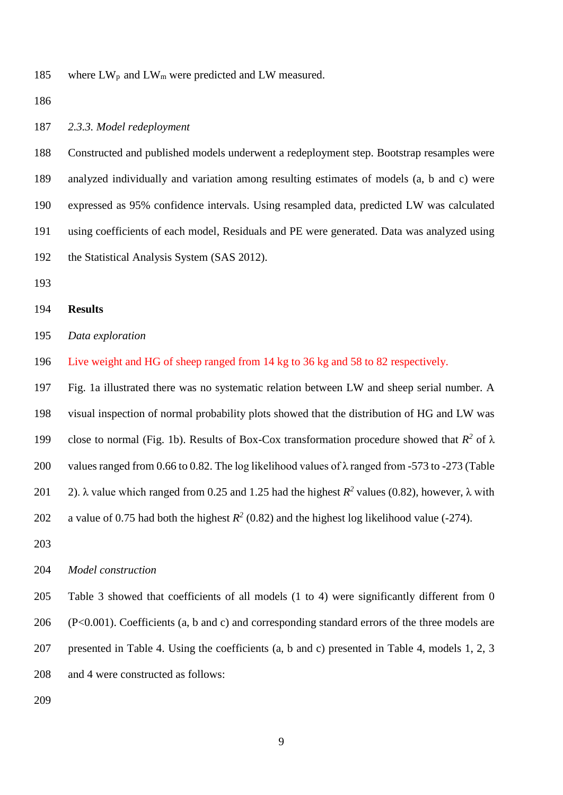185 where  $LW_p$  and  $LW_m$  were predicted and LW measured.

#### *2.3.3. Model redeployment*

 Constructed and published models underwent a redeployment step. Bootstrap resamples were analyzed individually and variation among resulting estimates of models (a, b and c) were expressed as 95% confidence intervals. Using resampled data, predicted LW was calculated using coefficients of each model, Residuals and PE were generated. Data was analyzed using the Statistical Analysis System (SAS 2012).

### **Results**

*Data exploration*

Live weight and HG of sheep ranged from 14 kg to 36 kg and 58 to 82 respectively.

 Fig. 1a illustrated there was no systematic relation between LW and sheep serial number. A visual inspection of normal probability plots showed that the distribution of HG and LW was 199 close to normal (Fig. 1b). Results of Box-Cox transformation procedure showed that  $R^2$  of  $\lambda$  values ranged from 0.66 to 0.82. The log likelihood values of λ ranged from -573 to -273 (Table 201 2).  $\lambda$  value which ranged from 0.25 and 1.25 had the highest  $R^2$  values (0.82), however,  $\lambda$  with 202 a value of 0.75 had both the highest  $R^2$  (0.82) and the highest log likelihood value (-274). 

#### *Model construction*

 Table 3 showed that coefficients of all models (1 to 4) were significantly different from 0 (P<0.001). Coefficients (a, b and c) and corresponding standard errors of the three models are presented in Table 4. Using the coefficients (a, b and c) presented in Table 4, models 1, 2, 3 and 4 were constructed as follows: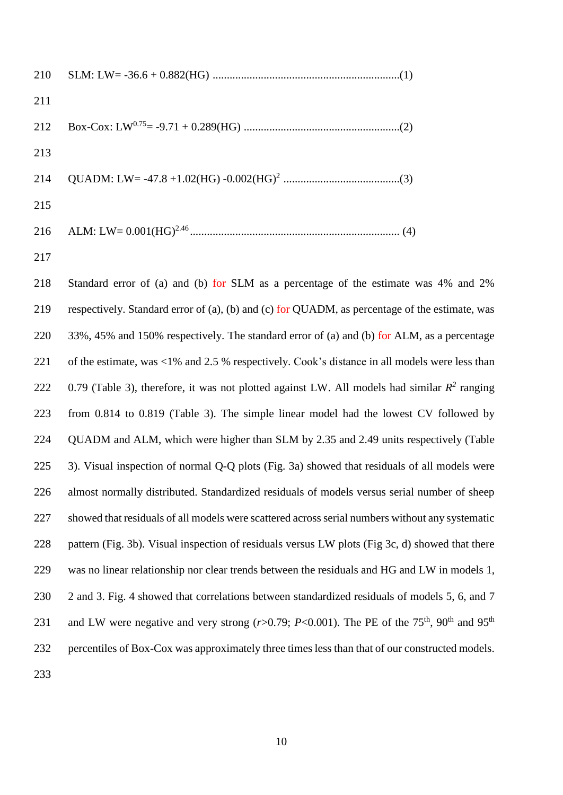| 211 |  |
|-----|--|
|     |  |
| 213 |  |
|     |  |
| 215 |  |
|     |  |
|     |  |

 Standard error of (a) and (b) for SLM as a percentage of the estimate was 4% and 2% respectively. Standard error of (a), (b) and (c) for QUADM, as percentage of the estimate, was 220 33%, 45% and 150% respectively. The standard error of (a) and (b) for ALM, as a percentage of the estimate, was <1% and 2.5 % respectively. Cook's distance in all models were less than 222 0.79 (Table 3), therefore, it was not plotted against LW. All models had similar  $R^2$  ranging from 0.814 to 0.819 (Table 3). The simple linear model had the lowest CV followed by 224 QUADM and ALM, which were higher than SLM by 2.35 and 2.49 units respectively (Table 3). Visual inspection of normal Q-Q plots (Fig. 3a) showed that residuals of all models were almost normally distributed. Standardized residuals of models versus serial number of sheep showed that residuals of all models were scattered across serial numbers without any systematic pattern (Fig. 3b). Visual inspection of residuals versus LW plots (Fig 3c, d) showed that there was no linear relationship nor clear trends between the residuals and HG and LW in models 1, 230 2 and 3. Fig. 4 showed that correlations between standardized residuals of models 5, 6, and 7 231 and LW were negative and very strong  $(r>0.79; P<0.001)$ . The PE of the 75<sup>th</sup>, 90<sup>th</sup> and 95<sup>th</sup> percentiles of Box-Cox was approximately three times less than that of our constructed models.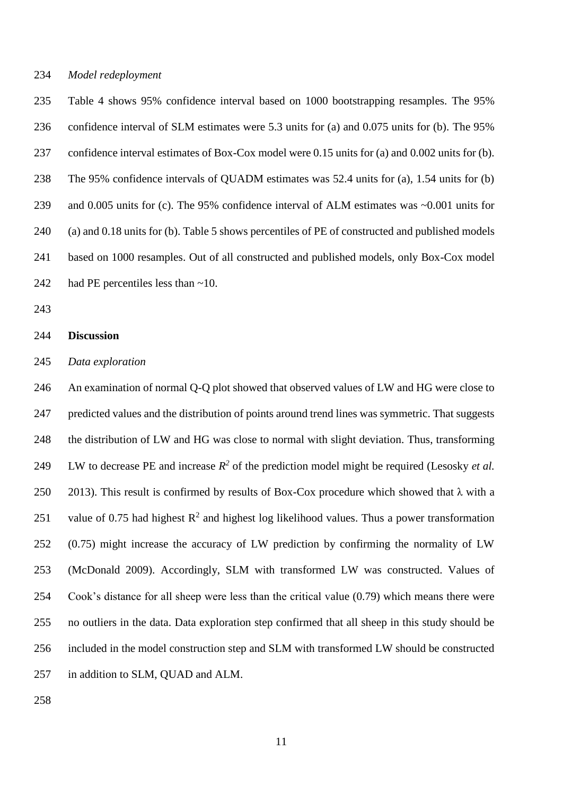#### *Model redeployment*

 Table 4 shows 95% confidence interval based on 1000 bootstrapping resamples. The 95% confidence interval of SLM estimates were 5.3 units for (a) and 0.075 units for (b). The 95% confidence interval estimates of Box-Cox model were 0.15 units for (a) and 0.002 units for (b). The 95% confidence intervals of QUADM estimates was 52.4 units for (a), 1.54 units for (b) and 0.005 units for (c). The 95% confidence interval of ALM estimates was ~0.001 units for (a) and 0.18 units for (b). Table 5 shows percentiles of PE of constructed and published models based on 1000 resamples. Out of all constructed and published models, only Box-Cox model had PE percentiles less than ~10.

### **Discussion**

#### *Data exploration*

 An examination of normal Q-Q plot showed that observed values of LW and HG were close to predicted values and the distribution of points around trend lines was symmetric. That suggests the distribution of LW and HG was close to normal with slight deviation. Thus, transforming 249 LW to decrease PE and increase  $R^2$  of the prediction model might be required (Lesosky *et al.*) 250 2013). This result is confirmed by results of Box-Cox procedure which showed that  $\lambda$  with a 251 value of 0.75 had highest  $R^2$  and highest log likelihood values. Thus a power transformation (0.75) might increase the accuracy of LW prediction by confirming the normality of LW (McDonald 2009). Accordingly, SLM with transformed LW was constructed. Values of Cook's distance for all sheep were less than the critical value (0.79) which means there were no outliers in the data. Data exploration step confirmed that all sheep in this study should be included in the model construction step and SLM with transformed LW should be constructed in addition to SLM, QUAD and ALM.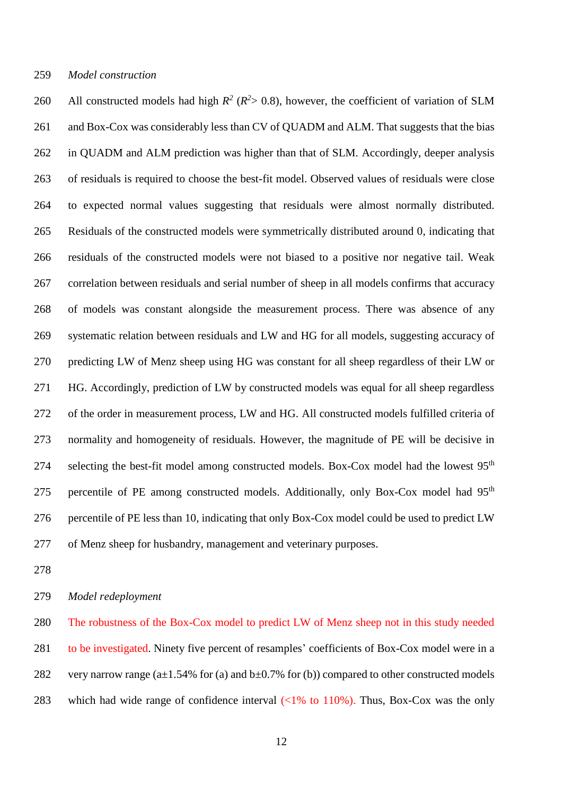*Model construction*

260 All constructed models had high  $R^2$  ( $R^2$ > 0.8), however, the coefficient of variation of SLM and Box-Cox was considerably less than CV of QUADM and ALM. That suggests that the bias in QUADM and ALM prediction was higher than that of SLM. Accordingly, deeper analysis of residuals is required to choose the best-fit model. Observed values of residuals were close to expected normal values suggesting that residuals were almost normally distributed. Residuals of the constructed models were symmetrically distributed around 0, indicating that residuals of the constructed models were not biased to a positive nor negative tail. Weak correlation between residuals and serial number of sheep in all models confirms that accuracy of models was constant alongside the measurement process. There was absence of any systematic relation between residuals and LW and HG for all models, suggesting accuracy of predicting LW of Menz sheep using HG was constant for all sheep regardless of their LW or HG. Accordingly, prediction of LW by constructed models was equal for all sheep regardless of the order in measurement process, LW and HG. All constructed models fulfilled criteria of normality and homogeneity of residuals. However, the magnitude of PE will be decisive in 274 selecting the best-fit model among constructed models. Box-Cox model had the lowest 95<sup>th</sup> 275 percentile of PE among constructed models. Additionally, only Box-Cox model had 95<sup>th</sup> percentile of PE less than 10, indicating that only Box-Cox model could be used to predict LW of Menz sheep for husbandry, management and veterinary purposes.

*Model redeployment*

 The robustness of the Box-Cox model to predict LW of Menz sheep not in this study needed to be investigated. Ninety five percent of resamples' coefficients of Box-Cox model were in a 282 very narrow range  $(a\pm 1.54\%$  for (a) and  $b\pm 0.7\%$  for (b)) compared to other constructed models 283 which had wide range of confidence interval  $\left(\frac{1}{6} \text{ to } 110\% \right)$ . Thus, Box-Cox was the only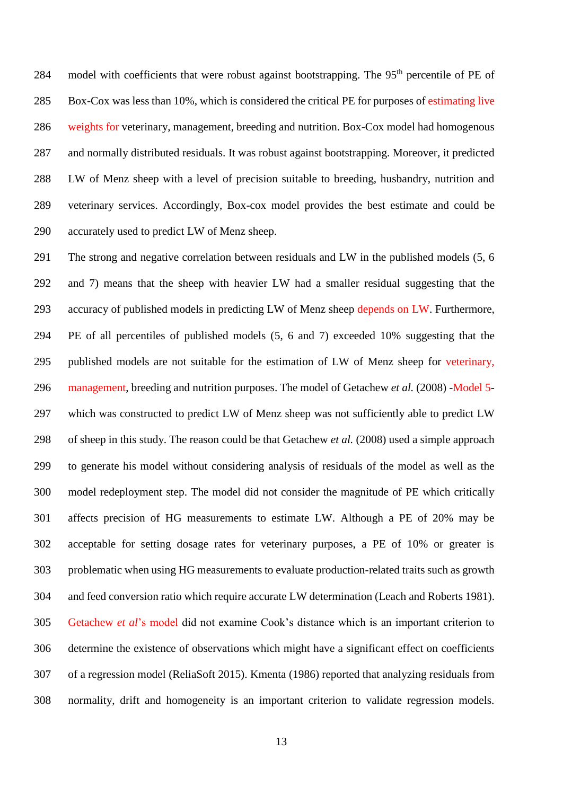284 model with coefficients that were robust against bootstrapping. The  $95<sup>th</sup>$  percentile of PE of Box-Cox was less than 10%, which is considered the critical PE for purposes of estimating live weights for veterinary, management, breeding and nutrition. Box-Cox model had homogenous and normally distributed residuals. It was robust against bootstrapping. Moreover, it predicted LW of Menz sheep with a level of precision suitable to breeding, husbandry, nutrition and veterinary services. Accordingly, Box-cox model provides the best estimate and could be accurately used to predict LW of Menz sheep.

 The strong and negative correlation between residuals and LW in the published models (5, 6 and 7) means that the sheep with heavier LW had a smaller residual suggesting that the accuracy of published models in predicting LW of Menz sheep depends on LW. Furthermore, PE of all percentiles of published models (5, 6 and 7) exceeded 10% suggesting that the published models are not suitable for the estimation of LW of Menz sheep for veterinary, management, breeding and nutrition purposes. The model of Getachew *et al.* (2008) -Model 5- which was constructed to predict LW of Menz sheep was not sufficiently able to predict LW of sheep in this study. The reason could be that Getachew *et al.* (2008) used a simple approach to generate his model without considering analysis of residuals of the model as well as the model redeployment step. The model did not consider the magnitude of PE which critically affects precision of HG measurements to estimate LW. Although a PE of 20% may be acceptable for setting dosage rates for veterinary purposes, a PE of 10% or greater is problematic when using HG measurements to evaluate production-related traits such as growth and feed conversion ratio which require accurate LW determination (Leach and Roberts 1981). Getachew *et al*'s model did not examine Cook's distance which is an important criterion to determine the existence of observations which might have a significant effect on coefficients of a regression model (ReliaSoft 2015). Kmenta (1986) reported that analyzing residuals from normality, drift and homogeneity is an important criterion to validate regression models.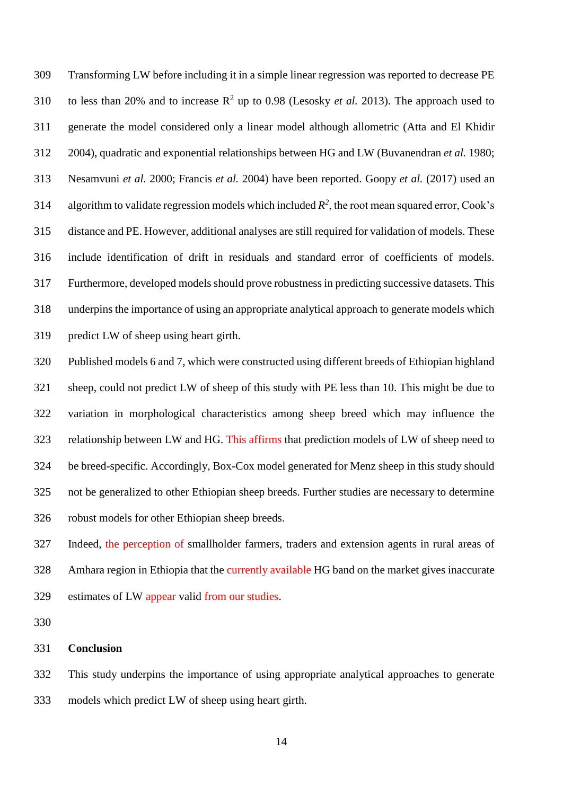Transforming LW before including it in a simple linear regression was reported to decrease PE 310 to less than 20% and to increase  $R^2$  up to 0.98 (Lesosky *et al.* 2013). The approach used to generate the model considered only a linear model although allometric (Atta and El Khidir 2004), quadratic and exponential relationships between HG and LW (Buvanendran *et al.* 1980; Nesamvuni *et al.* 2000; Francis *et al.* 2004) have been reported. Goopy *et al.* (2017) used an 314 algorithm to validate regression models which included  $R^2$ , the root mean squared error, Cook's distance and PE. However, additional analyses are still required for validation of models. These include identification of drift in residuals and standard error of coefficients of models. Furthermore, developed models should prove robustness in predicting successive datasets. This underpins the importance of using an appropriate analytical approach to generate models which predict LW of sheep using heart girth.

 Published models 6 and 7, which were constructed using different breeds of Ethiopian highland sheep, could not predict LW of sheep of this study with PE less than 10. This might be due to variation in morphological characteristics among sheep breed which may influence the relationship between LW and HG. This affirms that prediction models of LW of sheep need to be breed-specific. Accordingly, Box-Cox model generated for Menz sheep in this study should not be generalized to other Ethiopian sheep breeds. Further studies are necessary to determine robust models for other Ethiopian sheep breeds.

 Indeed, the perception of smallholder farmers, traders and extension agents in rural areas of Amhara region in Ethiopia that the currently available HG band on the market gives inaccurate estimates of LW appear valid from our studies.

#### **Conclusion**

 This study underpins the importance of using appropriate analytical approaches to generate models which predict LW of sheep using heart girth.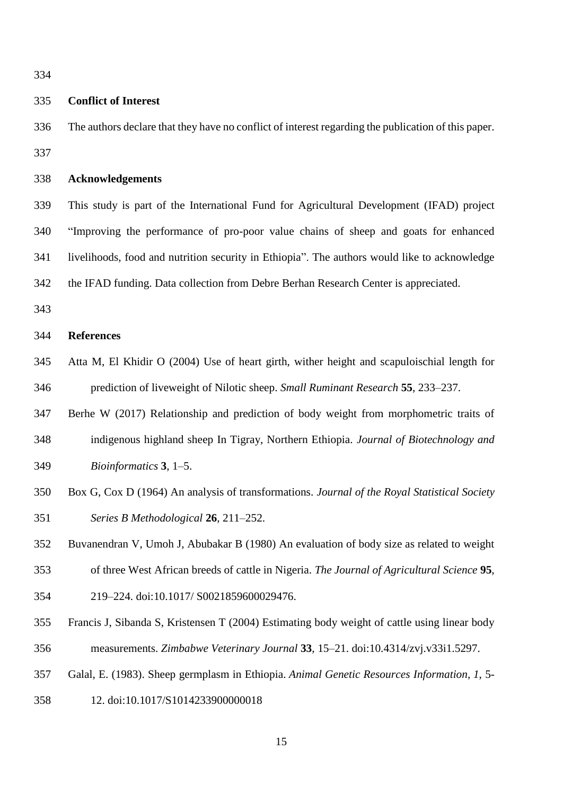### **Conflict of Interest**

 The authors declare that they have no conflict of interest regarding the publication of this paper. 

### **Acknowledgements**

 This study is part of the International Fund for Agricultural Development (IFAD) project "Improving the performance of pro-poor value chains of sheep and goats for enhanced livelihoods, food and nutrition security in Ethiopia". The authors would like to acknowledge the IFAD funding. Data collection from Debre Berhan Research Center is appreciated.

### **References**

- Atta M, El Khidir O (2004) Use of heart girth, wither height and scapuloischial length for prediction of liveweight of Nilotic sheep. *Small Ruminant Research* **55**, 233–237.
- Berhe W (2017) Relationship and prediction of body weight from morphometric traits of indigenous highland sheep In Tigray, Northern Ethiopia. *Journal of Biotechnology and*
- *Bioinformatics* **3**, 1–5.
- Box G, Cox D (1964) An analysis of transformations. *Journal of the Royal Statistical Society Series B Methodological* **26**, 211–252.
- Buvanendran V, Umoh J, Abubakar B (1980) An evaluation of body size as related to weight
- of three West African breeds of cattle in Nigeria. *The Journal of Agricultural Science* **95**,
- 219–224. doi:10.1017/ S0021859600029476.
- Francis J, Sibanda S, Kristensen T (2004) Estimating body weight of cattle using linear body measurements. *Zimbabwe Veterinary Journal* **33**, 15–21. doi:10.4314/zvj.v33i1.5297.
- Galal, E. (1983). Sheep germplasm in Ethiopia. *Animal Genetic Resources Information, 1*, 5-
- 12. doi:10.1017/S1014233900000018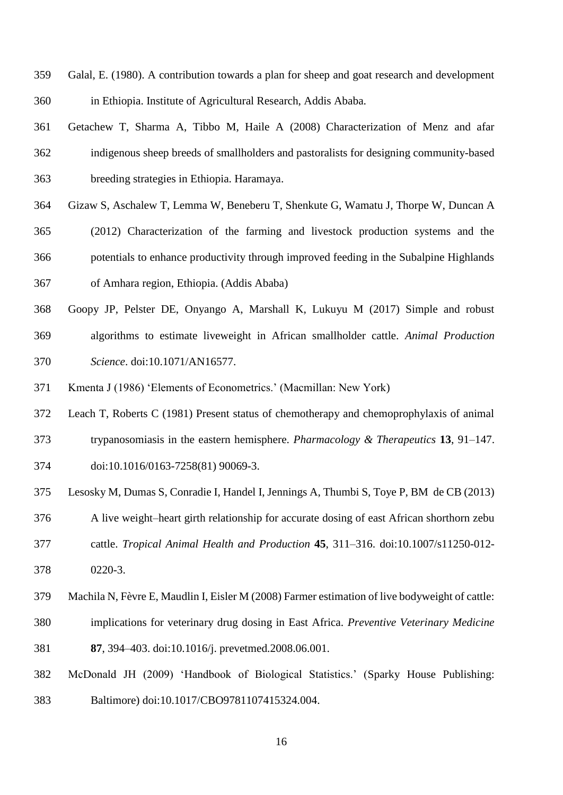- Galal, E. (1980). A contribution towards a plan for sheep and goat research and development in Ethiopia. Institute of Agricultural Research, Addis Ababa.
- Getachew T, Sharma A, Tibbo M, Haile A (2008) Characterization of Menz and afar indigenous sheep breeds of smallholders and pastoralists for designing community-based breeding strategies in Ethiopia. Haramaya.
- Gizaw S, Aschalew T, Lemma W, Beneberu T, Shenkute G, Wamatu J, Thorpe W, Duncan A
- (2012) Characterization of the farming and livestock production systems and the potentials to enhance productivity through improved feeding in the Subalpine Highlands
- of Amhara region, Ethiopia. (Addis Ababa)
- Goopy JP, Pelster DE, Onyango A, Marshall K, Lukuyu M (2017) Simple and robust algorithms to estimate liveweight in African smallholder cattle. *Animal Production Science*. doi:10.1071/AN16577.
- Kmenta J (1986) 'Elements of Econometrics.' (Macmillan: New York)
- Leach T, Roberts C (1981) Present status of chemotherapy and chemoprophylaxis of animal
- trypanosomiasis in the eastern hemisphere. *Pharmacology & Therapeutics* **13**, 91–147.
- doi:10.1016/0163-7258(81) 90069-3.
- Lesosky M, Dumas S, Conradie I, Handel I, Jennings A, Thumbi S, Toye P, BM de CB (2013)
- A live weight–heart girth relationship for accurate dosing of east African shorthorn zebu
- cattle. *Tropical Animal Health and Production* **45**, 311–316. doi:10.1007/s11250-012-
- 0220-3.
- Machila N, Fèvre E, Maudlin I, Eisler M (2008) Farmer estimation of live bodyweight of cattle:
- implications for veterinary drug dosing in East Africa. *Preventive Veterinary Medicine*
- **87**, 394–403. doi:10.1016/j. prevetmed.2008.06.001.
- McDonald JH (2009) 'Handbook of Biological Statistics.' (Sparky House Publishing:
- Baltimore) doi:10.1017/CBO9781107415324.004.
	-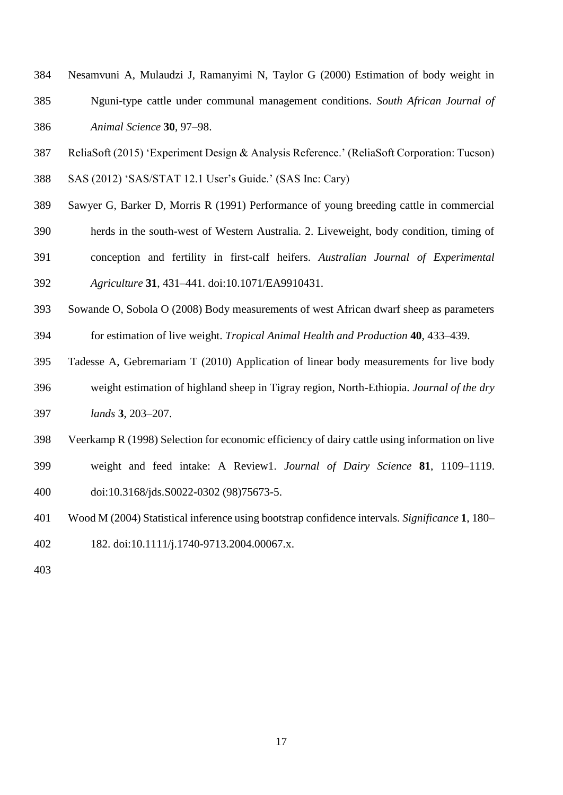- Nesamvuni A, Mulaudzi J, Ramanyimi N, Taylor G (2000) Estimation of body weight in Nguni-type cattle under communal management conditions. *South African Journal of Animal Science* **30**, 97–98.
- ReliaSoft (2015) 'Experiment Design & Analysis Reference.' (ReliaSoft Corporation: Tucson) SAS (2012) 'SAS/STAT 12.1 User's Guide.' (SAS Inc: Cary)
- 
- Sawyer G, Barker D, Morris R (1991) Performance of young breeding cattle in commercial
- herds in the south-west of Western Australia. 2. Liveweight, body condition, timing of
- conception and fertility in first-calf heifers. *Australian Journal of Experimental*
- *Agriculture* **31**, 431–441. doi:10.1071/EA9910431.
- Sowande O, Sobola O (2008) Body measurements of west African dwarf sheep as parameters for estimation of live weight. *Tropical Animal Health and Production* **40**, 433–439.
- Tadesse A, Gebremariam T (2010) Application of linear body measurements for live body weight estimation of highland sheep in Tigray region, North-Ethiopia. *Journal of the dry lands* **3**, 203–207.
- Veerkamp R (1998) Selection for economic efficiency of dairy cattle using information on live weight and feed intake: A Review1. *Journal of Dairy Science* **81**, 1109–1119. doi:10.3168/jds.S0022-0302 (98)75673-5.
- Wood M (2004) Statistical inference using bootstrap confidence intervals. *Significance* **1**, 180– 182. doi:10.1111/j.1740-9713.2004.00067.x.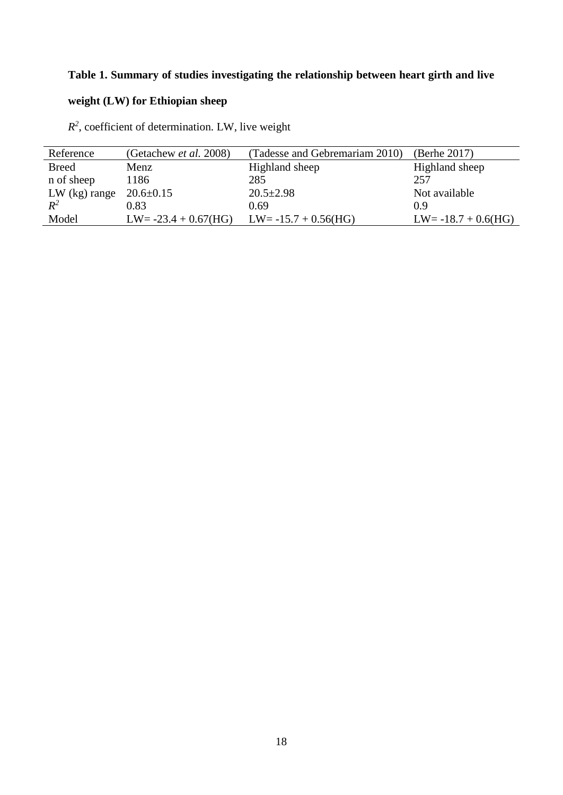## **Table 1. Summary of studies investigating the relationship between heart girth and live**

# **weight (LW) for Ethiopian sheep**

 $R<sup>2</sup>$ , coefficient of determination. LW, live weight

| Reference       | (Getachew <i>et al.</i> 2008) | (Tadesse and Gebremariam 2010) | (Berhe 2017)           |
|-----------------|-------------------------------|--------------------------------|------------------------|
| <b>Breed</b>    | Menz                          | Highland sheep                 | Highland sheep         |
| n of sheep      | 1186                          | 285                            | 257                    |
| $LW$ (kg) range | $20.6 \pm 0.15$               | $20.5 \pm 2.98$                | Not available          |
| $R^2$           | 0.83                          | 0.69                           | 0.9                    |
| Model           | $LW = -23.4 + 0.67(HG)$       | $LW = -15.7 + 0.56(HG)$        | $LW = -18.7 + 0.6(HG)$ |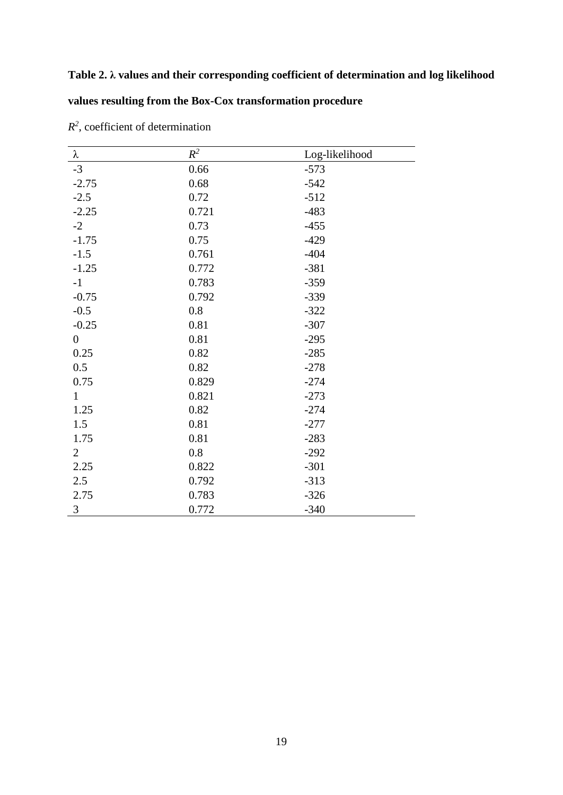## **Table 2. λ values and their corresponding coefficient of determination and log likelihood**

## **values resulting from the Box-Cox transformation procedure**

| λ                | $R^2$ | Log-likelihood |
|------------------|-------|----------------|
| $-3$             | 0.66  | $-573$         |
| $-2.75$          | 0.68  | $-542$         |
| $-2.5$           | 0.72  | $-512$         |
| $-2.25$          | 0.721 | $-483$         |
| $-2$             | 0.73  | $-455$         |
| $-1.75$          | 0.75  | $-429$         |
| $-1.5$           | 0.761 | $-404$         |
| $-1.25$          | 0.772 | $-381$         |
| $-1$             | 0.783 | $-359$         |
| $-0.75$          | 0.792 | $-339$         |
| $-0.5$           | 0.8   | $-322$         |
| $-0.25$          | 0.81  | $-307$         |
| $\boldsymbol{0}$ | 0.81  | $-295$         |
| 0.25             | 0.82  | $-285$         |
| 0.5              | 0.82  | $-278$         |
| 0.75             | 0.829 | $-274$         |
| $\mathbf{1}$     | 0.821 | $-273$         |
| 1.25             | 0.82  | $-274$         |
| 1.5              | 0.81  | $-277$         |
| 1.75             | 0.81  | $-283$         |
| $\overline{2}$   | 0.8   | $-292$         |
| 2.25             | 0.822 | $-301$         |
| 2.5              | 0.792 | $-313$         |
| 2.75             | 0.783 | $-326$         |
| 3                | 0.772 | $-340$         |

 $R<sup>2</sup>$ , coefficient of determination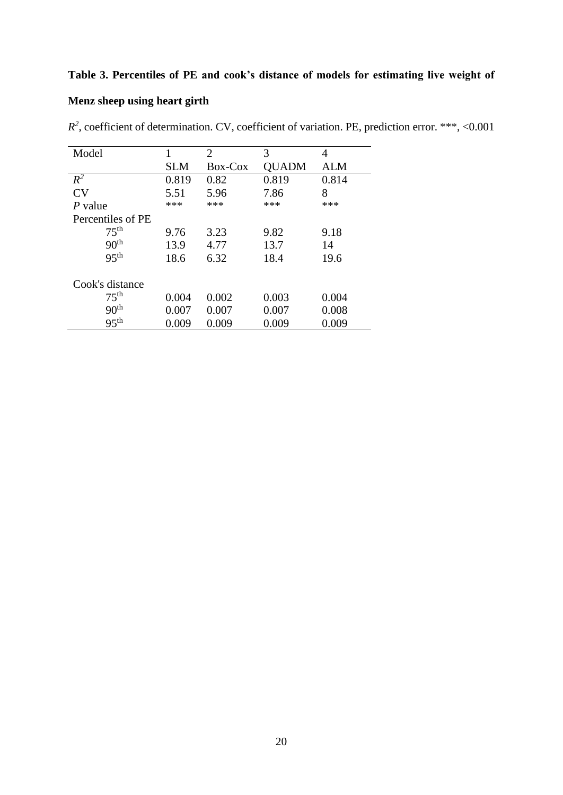## **Table 3. Percentiles of PE and cook's distance of models for estimating live weight of**

## **Menz sheep using heart girth**

| Model             |            | 2       | 3     | 4     |  |
|-------------------|------------|---------|-------|-------|--|
|                   | <b>SLM</b> | Box-Cox | QUADM | ALM   |  |
| $R^2$             | 0.819      | 0.82    | 0.819 | 0.814 |  |
| CV                | 5.51       | 5.96    | 7.86  | 8     |  |
| P value           | ***        | ***     | ***   | ***   |  |
| Percentiles of PE |            |         |       |       |  |
| 75 <sup>th</sup>  | 9.76       | 3.23    | 9.82  | 9.18  |  |
| 90 <sup>th</sup>  | 13.9       | 4.77    | 13.7  | 14    |  |
| 95 <sup>th</sup>  | 18.6       | 6.32    | 18.4  | 19.6  |  |
| Cook's distance   |            |         |       |       |  |
| 75 <sup>th</sup>  | 0.004      | 0.002   | 0.003 | 0.004 |  |
| 90 <sup>th</sup>  | 0.007      | 0.007   | 0.007 | 0.008 |  |
| 95 <sup>th</sup>  | 0.009      | 0.009   | 0.009 | 0.009 |  |

*R 2* , coefficient of determination. CV, coefficient of variation. PE, prediction error. \*\*\*, <0.001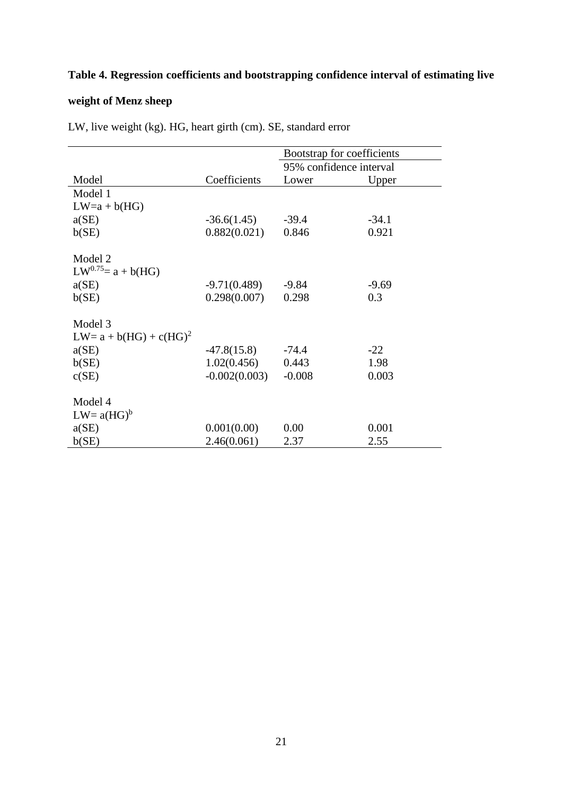## **Table 4. Regression coefficients and bootstrapping confidence interval of estimating live**

## **weight of Menz sheep**

|                            |                 | Bootstrap for coefficients |         |
|----------------------------|-----------------|----------------------------|---------|
|                            |                 | 95% confidence interval    |         |
| Model                      | Coefficients    | Lower                      | Upper   |
| Model 1                    |                 |                            |         |
| $LW=a+b(HG)$               |                 |                            |         |
| a(SE)                      | $-36.6(1.45)$   | $-39.4$                    | $-34.1$ |
| b(SE)                      | 0.882(0.021)    | 0.846                      | 0.921   |
|                            |                 |                            |         |
| Model 2                    |                 |                            |         |
| $LW^{0.75} = a + b(HG)$    |                 |                            |         |
| a(SE)                      | $-9.71(0.489)$  | $-9.84$                    | $-9.69$ |
| b(SE)                      | 0.298(0.007)    | 0.298                      | 0.3     |
|                            |                 |                            |         |
| Model 3                    |                 |                            |         |
| $LW = a + b(HG) + c(HG)^2$ |                 |                            |         |
| a(SE)                      | $-47.8(15.8)$   | $-74.4$                    | $-22$   |
| b(SE)                      | 1.02(0.456)     | 0.443                      | 1.98    |
| c(SE)                      | $-0.002(0.003)$ | $-0.008$                   | 0.003   |
|                            |                 |                            |         |
| Model 4                    |                 |                            |         |
| $LW = a(HG)^b$             |                 |                            |         |
| a(SE)                      | 0.001(0.00)     | 0.00                       | 0.001   |
| b(SE)                      | 2.46(0.061)     | 2.37                       | 2.55    |

LW, live weight (kg). HG, heart girth (cm). SE, standard error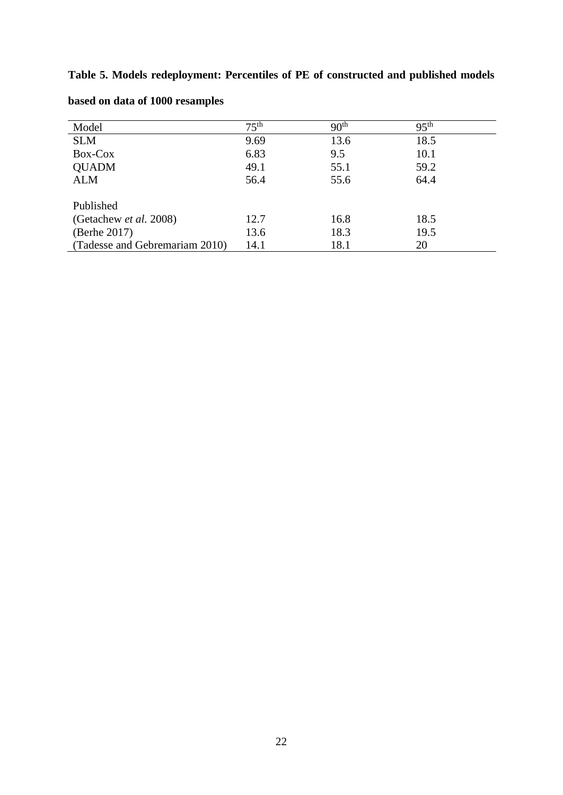**Table 5. Models redeployment: Percentiles of PE of constructed and published models** 

| Model                          | $75^{\text{th}}$ | 90 <sup>th</sup> | 95 <sup>th</sup> |
|--------------------------------|------------------|------------------|------------------|
| <b>SLM</b>                     | 9.69             | 13.6             | 18.5             |
| Box-Cox                        | 6.83             | 9.5              | 10.1             |
| <b>QUADM</b>                   | 49.1             | 55.1             | 59.2             |
| <b>ALM</b>                     | 56.4             | 55.6             | 64.4             |
|                                |                  |                  |                  |
| Published                      |                  |                  |                  |
| (Getachew et al. 2008)         | 12.7             | 16.8             | 18.5             |
| (Berhe 2017)                   | 13.6             | 18.3             | 19.5             |
| (Tadesse and Gebremariam 2010) | 14.1             | 18.1             | 20               |

**based on data of 1000 resamples**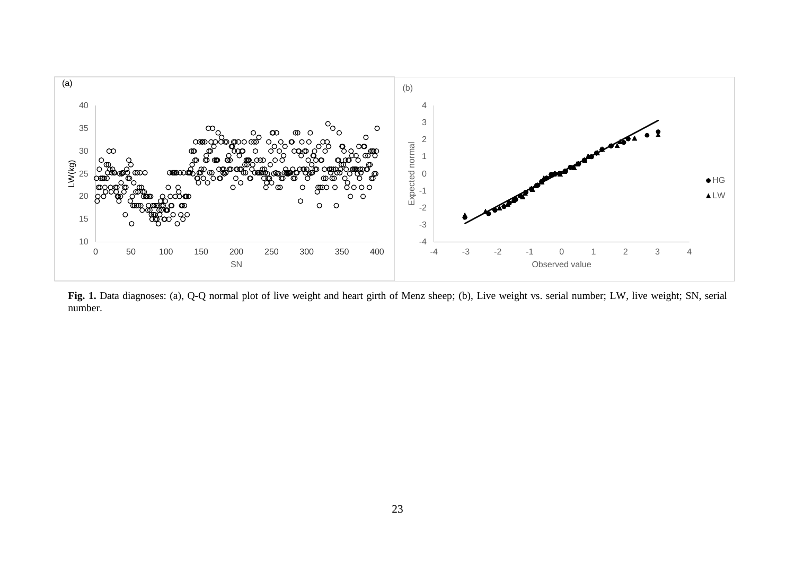

Fig. 1. Data diagnoses: (a), Q-Q normal plot of live weight and heart girth of Menz sheep; (b), Live weight vs. serial number; LW, live weight; SN, serial number.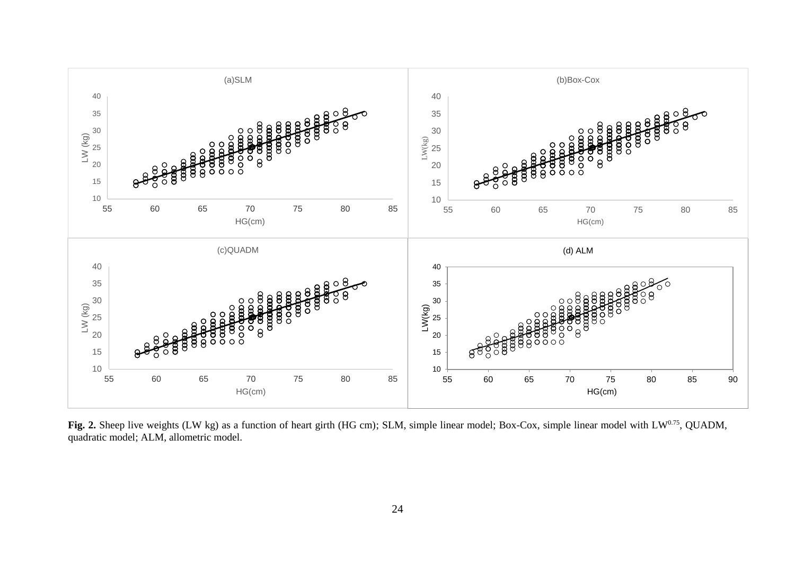

Fig. 2. Sheep live weights (LW kg) as a function of heart girth (HG cm); SLM, simple linear model; Box-Cox, simple linear model with LW<sup>0.75</sup>, QUADM, quadratic model; ALM, allometric model.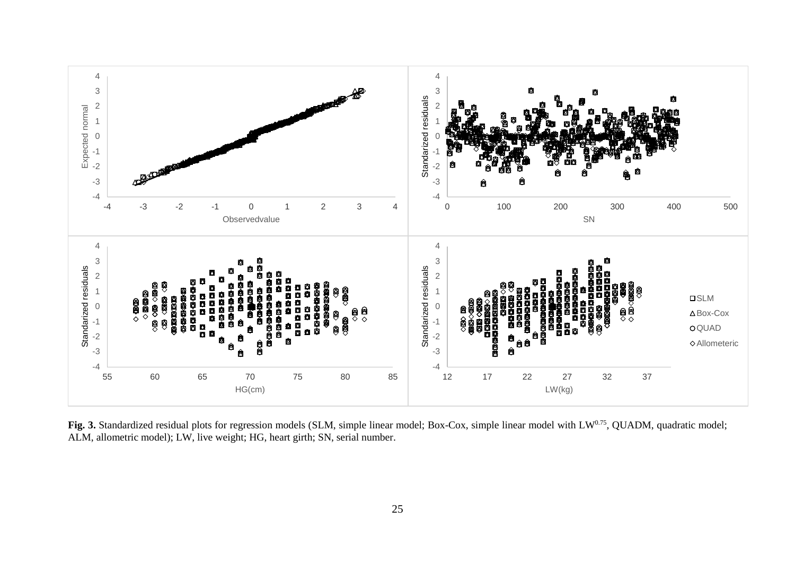

Fig. 3. Standardized residual plots for regression models (SLM, simple linear model; Box-Cox, simple linear model with LW<sup>0.75</sup>, QUADM, quadratic model; ALM, allometric model); LW, live weight; HG, heart girth; SN, serial number.